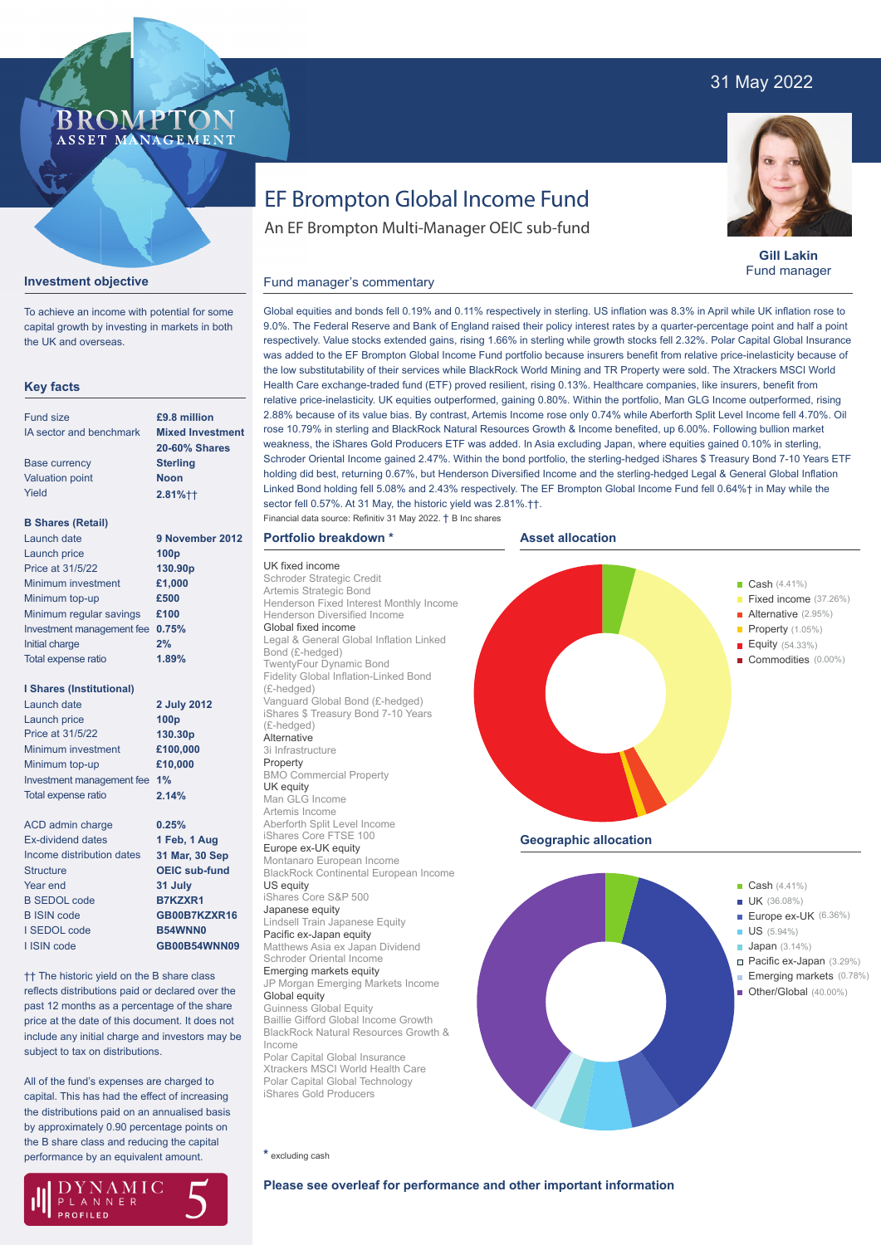# 31 May 2022

## **BROMP** ASSET MANAGEMENT



To achieve an income with potential for some capital growth by investing in markets in both the UK and overseas.

### **Key facts**

| <b>Fund size</b>           | £9.8 million            |
|----------------------------|-------------------------|
| IA sector and benchmark    | <b>Mixed Investment</b> |
|                            | <b>20-60% Shares</b>    |
| <b>Base currency</b>       | <b>Sterling</b>         |
| <b>Valuation point</b>     | <b>Noon</b>             |
| Yield                      | $2.81%$ + +             |
| <b>B Shares (Retail)</b>   |                         |
| Launch date                | 9 November 2012         |
| Launch price               | 100 <sub>p</sub>        |
| Price at 31/5/22           | 130.90 <sub>p</sub>     |
| Minimum investment         | £1,000                  |
| Minimum top-up             | £500                    |
| Minimum regular savings    | £100                    |
| Investment management fee  | 0.75%                   |
| Initial charge             | 2%                      |
| <b>Total expense ratio</b> | 1.89%                   |
| I Shares (Institutional)   |                         |
| Launch date                | 2 July 2012             |

| Launch dale                  | Z JUIV ZU        |
|------------------------------|------------------|
| Launch price                 | 100 <sub>p</sub> |
| Price at 31/5/22             | 130.30p          |
| Minimum investment           | £100,000         |
| Minimum top-up               | £10,000          |
| Investment management fee 1% |                  |
| <b>Total expense ratio</b>   | 2.14%            |
|                              |                  |

| ACD admin charge          | 0.25%                |
|---------------------------|----------------------|
| <b>Ex-dividend dates</b>  | 1 Feb, 1 Aug         |
| Income distribution dates | 31 Mar, 30 Sep       |
| <b>Structure</b>          | <b>OEIC sub-fund</b> |
| Year end                  | 31 July              |
| <b>B SEDOL code</b>       | <b>B7KZXR1</b>       |
| <b>B</b> ISIN code        | GB00B7KZXR16         |
| I SEDOL code              | <b>B54WNN0</b>       |
| I ISIN code               | GB00B54WNN09         |
|                           |                      |

†† The historic yield on the B share class reflects distributions paid or declared over the past 12 months as a percentage of the share price at the date of this document. It does not include any initial charge and investors may be subject to tax on distributions.

All of the fund's expenses are charged to capital. This has had the effect of increasing the distributions paid on an annualised basis by approximately 0.90 percentage points on the B share class and reducing the capital performance by an equivalent amount.



# EF Brompton Global Income Fund

An EF Brompton Multi-Manager OEIC sub-fund



**Gill Lakin** Fund manager

#### Fund manager's commentary

Global equities and bonds fell 0.19% and 0.11% respectively in sterling. US inflation was 8.3% in April while UK inflation rose to 9.0%. The Federal Reserve and Bank of England raised their policy interest rates by a quarter-percentage point and half a point respectively. Value stocks extended gains, rising 1.66% in sterling while growth stocks fell 2.32%. Polar Capital Global Insurance was added to the EF Brompton Global Income Fund portfolio because insurers benefit from relative price-inelasticity because of the low substitutability of their services while BlackRock World Mining and TR Property were sold. The Xtrackers MSCI World Health Care exchange-traded fund (ETF) proved resilient, rising 0.13%. Healthcare companies, like insurers, benefit from relative price-inelasticity. UK equities outperformed, gaining 0.80%. Within the portfolio, Man GLG Income outperformed, rising 2.88% because of its value bias. By contrast, Artemis Income rose only 0.74% while Aberforth Split Level Income fell 4.70%. Oil rose 10.79% in sterling and BlackRock Natural Resources Growth & Income benefited, up 6.00%. Following bullion market weakness, the iShares Gold Producers ETF was added. In Asia excluding Japan, where equities gained 0.10% in sterling, Schroder Oriental Income gained 2.47%. Within the bond portfolio, the sterling-hedged iShares \$ Treasury Bond 7-10 Years ETF holding did best, returning 0.67%, but Henderson Diversified Income and the sterling-hedged Legal & General Global Inflation Linked Bond holding fell 5.08% and 2.43% respectively. The EF Brompton Global Income Fund fell 0.64%† in May while the sector fell 0.57%. At 31 May, the historic yield was 2.81%.††.

**Asset allocation**

Financial data source: Refinitiv 31 May 2022. † B Inc shares

UK fixed income Schroder Strategic Credit Artemis Strategic Bond

Bond (£-hedged) TwentyFour Dynamic Bond Fidelity Global Inflation-Linked Bond

(£-hedged)

(£-hedged) **Alternative** 3i Infrastructure Property

UK equity Man GLG Income Artemis Income

US equity

Global equity Guinness Global Equity

Income

Henderson Diversified Income Global fixed income

**Portfolio breakdown \***

Vanguard Global Bond (£-hedged) iShares \$ Treasury Bond 7-10 Years

BMO Commercial Property

Aberforth Split Level Income iShares Core FTSE 100 Europe ex-UK equity Montanaro European Income

iShares Core S&P 500 Japanese equity

Lindsell Train Japanese Equity Pacific ex-Japan equity Matthews Asia ex Japan Dividend Schroder Oriental Income Emerging markets equity

JP Morgan Emerging Markets Income

Baillie Gifford Global Income Growth

Polar Capital Global Insurance Xtrackers MSCI World Health Care Polar Capital Global Technology iShares Gold Producers



**\*** excluding cash